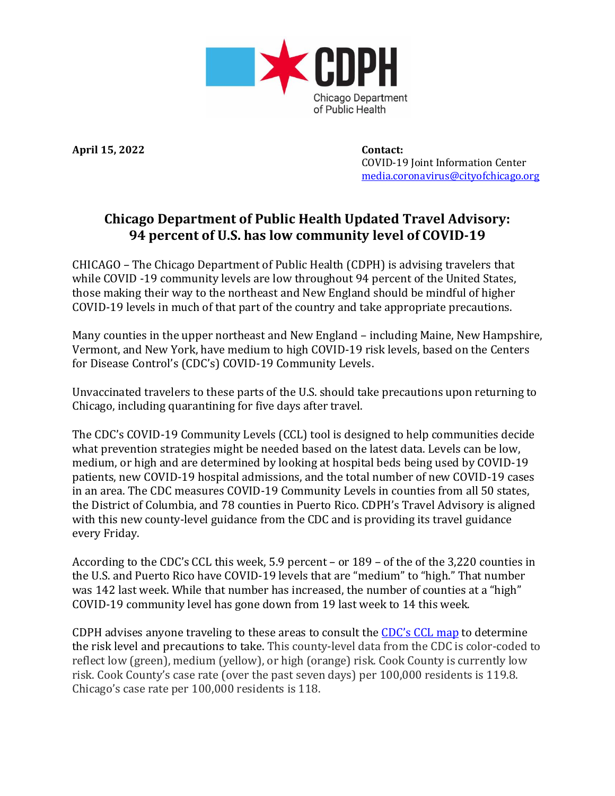

**April 15, 2022 Contact:**

 COVID-19 Joint Information Center [media.coronavirus@cityofchicago.org](mailto:media.coronavirus@cityofchicago.org)

## **Chicago Department of Public Health Updated Travel Advisory: 94 percent of U.S. has low community level of COVID-19**

CHICAGO – The Chicago Department of Public Health (CDPH) is advising travelers that while COVID -19 community levels are low throughout 94 percent of the United States, those making their way to the northeast and New England should be mindful of higher COVID-19 levels in much of that part of the country and take appropriate precautions.

Many counties in the upper northeast and New England – including Maine, New Hampshire, Vermont, and New York, have medium to high COVID-19 risk levels, based on the Centers for Disease Control's (CDC's) COVID-19 Community Levels.

Unvaccinated travelers to these parts of the U.S. should take precautions upon returning to Chicago, including quarantining for five days after travel.

The CDC's COVID-19 Community Levels (CCL) tool is designed to help communities decide what prevention strategies might be needed based on the latest data. Levels can be low, medium, or high and are determined by looking at hospital beds being used by COVID-19 patients, new COVID-19 hospital admissions, and the total number of new COVID-19 cases in an area. The CDC measures COVID-19 Community Levels in counties from all 50 states, the District of Columbia, and 78 counties in Puerto Rico. CDPH's Travel Advisory is aligned with this new county-level guidance from the CDC and is providing its travel guidance every Friday.

According to the CDC's CCL this week, 5.9 percent – or 189 – of the of the 3,220 counties in the U.S. and Puerto Rico have COVID-19 levels that are "medium" to "high." That number was 142 last week. While that number has increased, the number of counties at a "high" COVID-19 community level has gone down from 19 last week to 14 this week.

CDPH advises anyone traveling to these areas to consult the [CDC's](https://www.cdc.gov/coronavirus/2019-ncov/science/community-levels.html) CCL map to determine the risk level and precautions to take. This county-level data from the CDC is color-coded to reflect low (green), medium (yellow), or high (orange) risk. Cook County is currently low risk. Cook County's case rate (over the past seven days) per 100,000 residents is 119.8. Chicago's case rate per 100,000 residents is 118.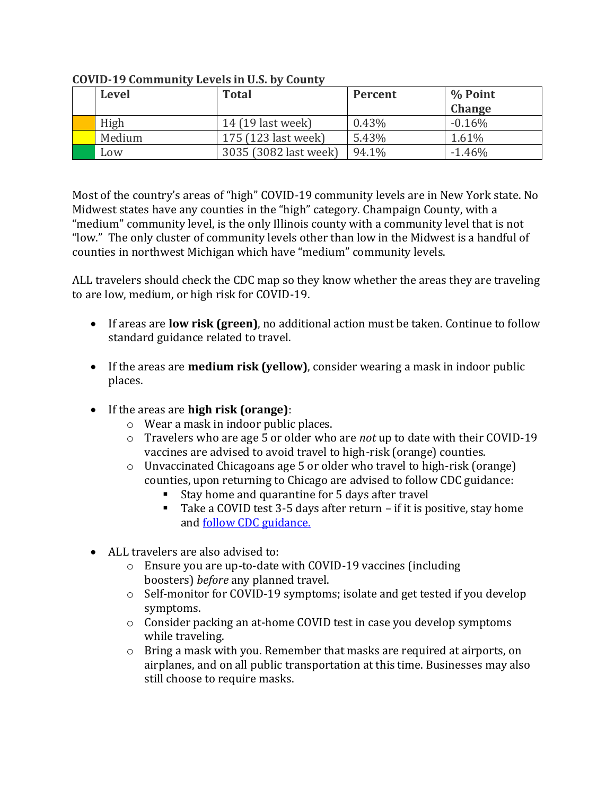| Level  | <b>Total</b>          | Percent | % Point       |
|--------|-----------------------|---------|---------------|
|        |                       |         | <b>Change</b> |
| High   | 14 (19 last week)     | 0.43%   | $-0.16\%$     |
| Medium | 175 (123 last week)   | 5.43%   | 1.61%         |
| Low    | 3035 (3082 last week) | 94.1%   | $-1.46%$      |

**COVID-19 Community Levels in U.S. by County**

Most of the country's areas of "high" COVID-19 community levels are in New York state. No Midwest states have any counties in the "high" category. Champaign County, with a "medium" community level, is the only Illinois county with a community level that is not "low." The only cluster of community levels other than low in the Midwest is a handful of counties in northwest Michigan which have "medium" community levels.

ALL travelers should check the CDC map so they know whether the areas they are traveling to are low, medium, or high risk for COVID-19.

- If areas are **low risk (green)**, no additional action must be taken. Continue to follow standard guidance related to travel.
- If the areas are **medium risk (yellow)**, consider wearing a mask in indoor public places.
- If the areas are **high risk (orange)**:
	- o Wear a mask in indoor public places.
	- o Travelers who are age 5 or older who are *not* up to date with their COVID-19 vaccines are advised to avoid travel to high-risk (orange) counties.
	- o Unvaccinated Chicagoans age 5 or older who travel to high-risk (orange) counties, upon returning to Chicago are advised to follow CDC guidance:
		- Stay home and quarantine for 5 days after travel
		- Take a COVID test 3-5 days after return if it is positive, stay home and [follow CDC guidance.](https://www.chicago.gov/city/en/sites/covid-19/home/managing-your-health.html?#tab-whattodo)
- ALL travelers are also advised to:
	- o Ensure you are up-to-date with COVID-19 vaccines (including boosters) *before* any planned travel.
	- o Self-monitor for COVID-19 symptoms; isolate and get tested if you develop symptoms.
	- o Consider packing an at-home COVID test in case you develop symptoms while traveling.
	- $\circ$  Bring a mask with you. Remember that masks are required at airports, on airplanes, and on all public transportation at this time. Businesses may also still choose to require masks.